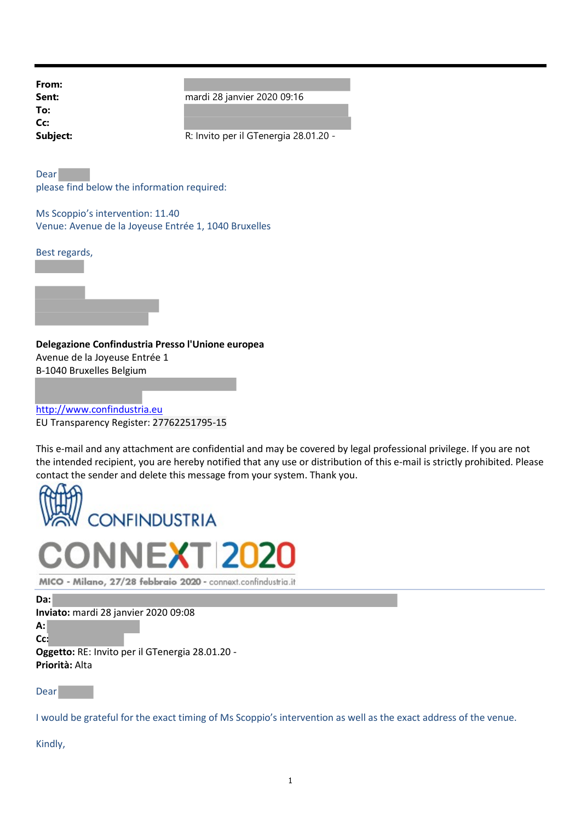| From:    |
|----------|
| Sent:    |
| To:      |
| Cc:      |
| Subject: |

mardi 28 janvier 2020 09:16

R: Invito per il GTenergia 28.01.20 -

Dear please find below the information required:

Ms Scoppio's intervention: 11.40 Venue: Avenue de la Joyeuse Entrée 1, 1040 Bruxelles

Best regards,



Delegazione Confindustria Presso l'Unione europea Avenue de la Joyeuse Entrée 1 B-1040 Bruxelles Belgium

http://www.confindustria.eu EU Transparency Register: 27762251795-15

This e-mail and any attachment are confidential and may be covered by legal professional privilege. If you are not the intended recipient, you are hereby notified that any use or distribution of this e-mail is strictly prohibited. Please contact the sender and delete this message from your system. Thank you.





MICO - Milano, 27/28 febbraio 2020 - connext.confindustria.it

Da:

Inviato: mardi 28 janvier 2020 09:08

A:

Cc: Oggetto: RE: Invito per il GTenergia 28.01.20 -

Priorità: Alta

Dear

I would be grateful for the exact timing of Ms Scoppio's intervention as well as the exact address of the venue.

Kindly,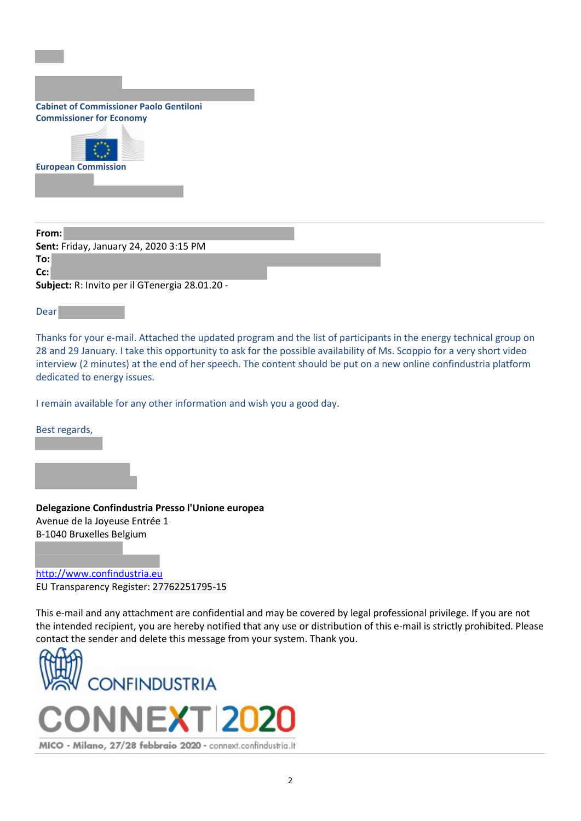| <b>Cabinet of Commissioner Paolo Gentiloni</b> |  |  |
|------------------------------------------------|--|--|
| <b>Commissioner for Economy</b>                |  |  |



From: Sent: Friday, January 24, 2020 3:15 PM To: Cc: Subject: R: Invito per il GTenergia 28.01.20 -

Dear

Thanks for your e-mail. Attached the updated program and the list of participants in the energy technical group on 28 and 29 January. I take this opportunity to ask for the possible availability of Ms. Scoppio for a very short video interview (2 minutes) at the end of her speech. The content should be put on a new online confindustria platform dedicated to energy issues.

I remain available for any other information and wish you a good day.

Best regards,

Delegazione Confindustria Presso l'Unione europea Avenue de la Joyeuse Entrée 1 B-1040 Bruxelles Belgium

http://www.confindustria.eu EU Transparency Register: 27762251795-15

This e-mail and any attachment are confidential and may be covered by legal professional privilege. If you are not the intended recipient, you are hereby notified that any use or distribution of this e-mail is strictly prohibited. Please contact the sender and delete this message from your system. Thank you.

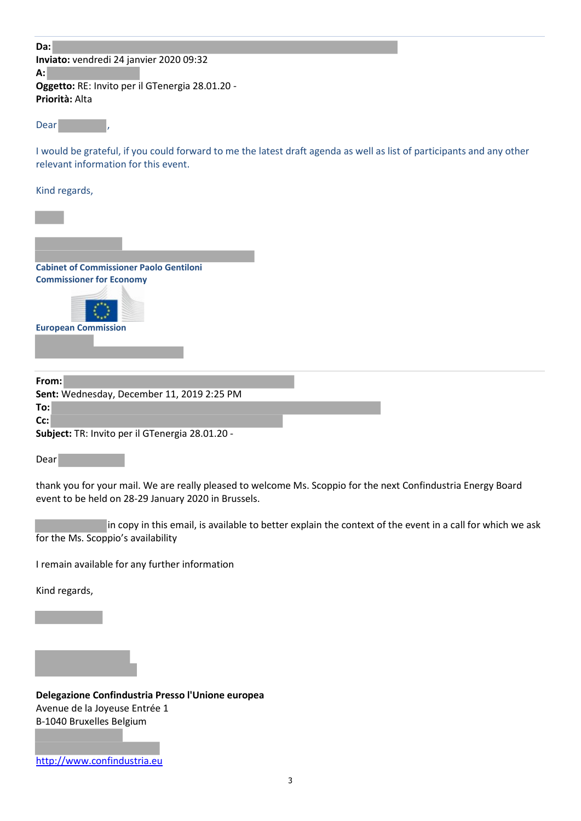| Da:                                             |  |  |  |
|-------------------------------------------------|--|--|--|
| Inviato: vendredi 24 janvier 2020 09:32         |  |  |  |
| A:                                              |  |  |  |
| Oggetto: RE: Invito per il GTenergia 28.01.20 - |  |  |  |
| Priorità: Alta                                  |  |  |  |
|                                                 |  |  |  |

Dear

I would be grateful, if you could forward to me the latest draft agenda as well as list of participants and any other relevant information for this event.

Kind regards,



|      | Sent: Wednesday, December 11, 2019 2:25 PM             |  |
|------|--------------------------------------------------------|--|
| To:l |                                                        |  |
| Cc:l |                                                        |  |
|      | <b>Subject:</b> TR: Invito per il GTenergia 28.01.20 - |  |

Dear

thank you for your mail. We are really pleased to welcome Ms. Scoppio for the next Confindustria Energy Board event to be held on 28-29 January 2020 in Brussels.

in copy in this email, is available to better explain the context of the event in a call for which we ask for the Ms. Scoppio's availability

I remain available for any further information

Kind regards,

Delegazione Confindustria Presso l'Unione europea Avenue de la Joyeuse Entrée 1 B-1040 Bruxelles Belgium

http://www.confindustria.eu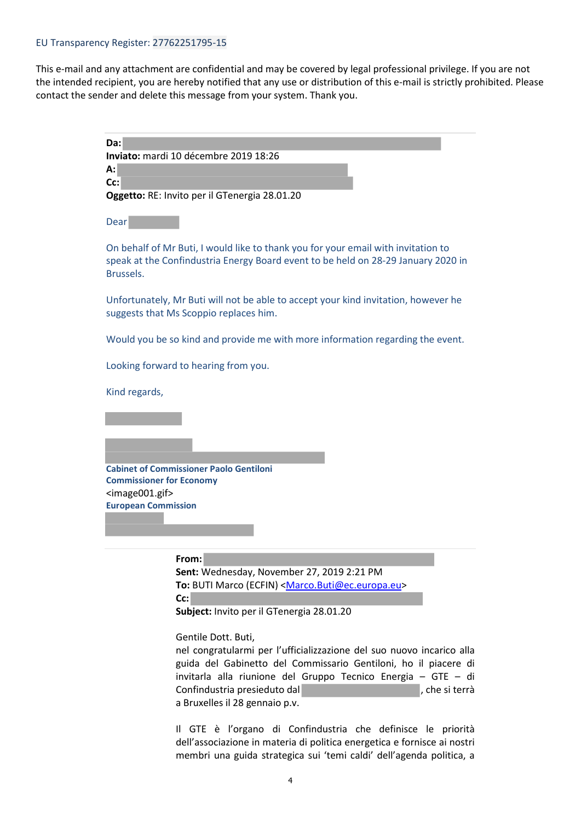## EU Transparency Register: 27762251795-15

This e-mail and any attachment are confidential and may be covered by legal professional privilege. If you are not the intended recipient, you are hereby notified that any use or distribution of this e-mail is strictly prohibited. Please contact the sender and delete this message from your system. Thank you.

| Da:                                           |  |
|-----------------------------------------------|--|
| <b>Inviato:</b> mardi 10 décembre 2019 18:26  |  |
| A:                                            |  |
| $ Cc$ :                                       |  |
| Oggetto: RE: Invito per il GTenergia 28.01.20 |  |
|                                               |  |
| Dear                                          |  |

On behalf of Mr Buti, I would like to thank you for your email with invitation to speak at the Confindustria Energy Board event to be held on 28-29 January 2020 in Brussels.

Unfortunately, Mr Buti will not be able to accept your kind invitation, however he suggests that Ms Scoppio replaces him.

Would you be so kind and provide me with more information regarding the event.

Looking forward to hearing from you.

Kind regards,

Cabinet of Commissioner Paolo Gentiloni Commissioner for Economy <image001.gif> European Commission

## From:

Sent: Wednesday, November 27, 2019 2:21 PM To: BUTI Marco (ECFIN) <Marco.Buti@ec.europa.eu> Cc:

Subject: Invito per il GTenergia 28.01.20

## Gentile Dott. Buti,

nel congratularmi per l'ufficializzazione del suo nuovo incarico alla guida del Gabinetto del Commissario Gentiloni, ho il piacere di invitarla alla riunione del Gruppo Tecnico Energia – GTE – di Confindustria presieduto dal province del province del province del province del province del province del pro a Bruxelles il 28 gennaio p.v.

Il GTE è l'organo di Confindustria che definisce le priorità dell'associazione in materia di politica energetica e fornisce ai nostri membri una guida strategica sui 'temi caldi' dell'agenda politica, a